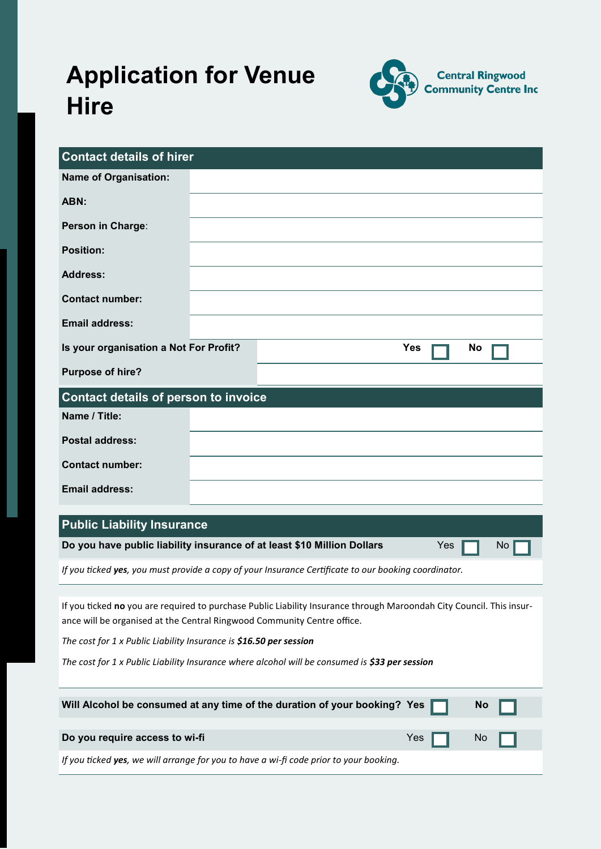# **Application for Venue Hire**



| <b>Contact details of hirer</b>                                                                                                                                                                                                                                                                                                                                         |  |  |  |  |  |
|-------------------------------------------------------------------------------------------------------------------------------------------------------------------------------------------------------------------------------------------------------------------------------------------------------------------------------------------------------------------------|--|--|--|--|--|
| <b>Name of Organisation:</b>                                                                                                                                                                                                                                                                                                                                            |  |  |  |  |  |
| ABN:                                                                                                                                                                                                                                                                                                                                                                    |  |  |  |  |  |
| Person in Charge:                                                                                                                                                                                                                                                                                                                                                       |  |  |  |  |  |
| <b>Position:</b>                                                                                                                                                                                                                                                                                                                                                        |  |  |  |  |  |
| <b>Address:</b>                                                                                                                                                                                                                                                                                                                                                         |  |  |  |  |  |
| <b>Contact number:</b>                                                                                                                                                                                                                                                                                                                                                  |  |  |  |  |  |
| <b>Email address:</b>                                                                                                                                                                                                                                                                                                                                                   |  |  |  |  |  |
| Is your organisation a Not For Profit?<br>Yes<br><b>No</b>                                                                                                                                                                                                                                                                                                              |  |  |  |  |  |
| <b>Purpose of hire?</b>                                                                                                                                                                                                                                                                                                                                                 |  |  |  |  |  |
| <b>Contact details of person to invoice</b>                                                                                                                                                                                                                                                                                                                             |  |  |  |  |  |
| Name / Title:                                                                                                                                                                                                                                                                                                                                                           |  |  |  |  |  |
| <b>Postal address:</b>                                                                                                                                                                                                                                                                                                                                                  |  |  |  |  |  |
| <b>Contact number:</b>                                                                                                                                                                                                                                                                                                                                                  |  |  |  |  |  |
| <b>Email address:</b>                                                                                                                                                                                                                                                                                                                                                   |  |  |  |  |  |
|                                                                                                                                                                                                                                                                                                                                                                         |  |  |  |  |  |
| <b>Public Liability Insurance</b>                                                                                                                                                                                                                                                                                                                                       |  |  |  |  |  |
| Do you have public liability insurance of at least \$10 Million Dollars<br>Yes<br>No.                                                                                                                                                                                                                                                                                   |  |  |  |  |  |
| If you ticked yes, you must provide a copy of your Insurance Certificate to our booking coordinator.                                                                                                                                                                                                                                                                    |  |  |  |  |  |
| If you ticked no you are required to purchase Public Liability Insurance through Maroondah City Council. This insur-<br>ance will be organised at the Central Ringwood Community Centre office.<br>The cost for 1 x Public Liability Insurance is \$16.50 per session<br>The cost for 1 x Public Liability Insurance where alcohol will be consumed is \$33 per session |  |  |  |  |  |
| Will Alcohol be consumed at any time of the duration of your booking? Yes<br><b>No</b>                                                                                                                                                                                                                                                                                  |  |  |  |  |  |
| Do you require access to wi-fi<br>Yes<br>Νo                                                                                                                                                                                                                                                                                                                             |  |  |  |  |  |
| If you ticked yes, we will arrange for you to have a wi-fi code prior to your booking.                                                                                                                                                                                                                                                                                  |  |  |  |  |  |
|                                                                                                                                                                                                                                                                                                                                                                         |  |  |  |  |  |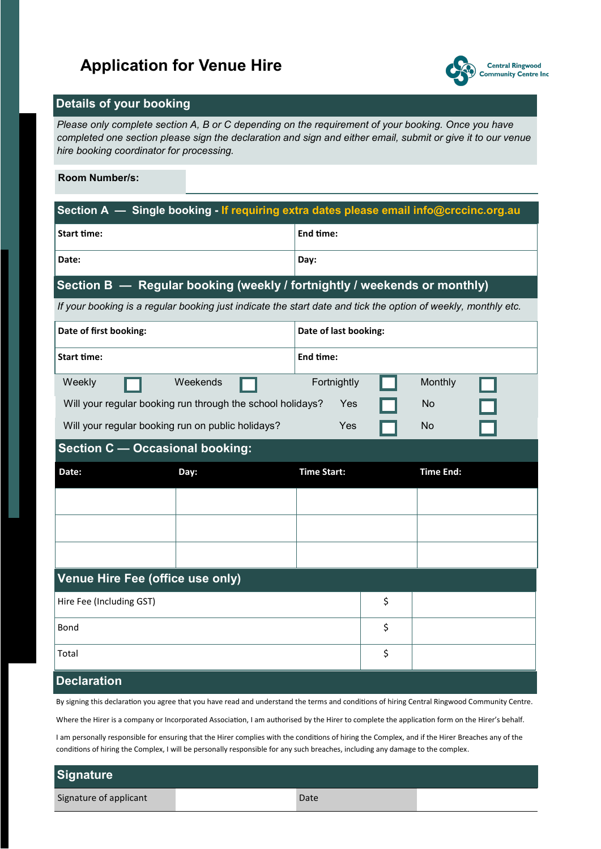## **Application for Venue Hire**



### **Details of your booking**

*Please only complete section A, B or C depending on the requirement of your booking. Once you have completed one section please sign the declaration and sign and either email, submit or give it to our venue hire booking coordinator for processing.*

#### **Room Number/s:**

| Section A - Single booking - If requiring extra dates please email info@crccinc.org.au                        |                                                            |                    |    |                  |  |  |
|---------------------------------------------------------------------------------------------------------------|------------------------------------------------------------|--------------------|----|------------------|--|--|
| <b>Start time:</b>                                                                                            |                                                            | End time:          |    |                  |  |  |
| Date:                                                                                                         |                                                            | Day:               |    |                  |  |  |
| Section B - Regular booking (weekly / fortnightly / weekends or monthly)                                      |                                                            |                    |    |                  |  |  |
| If your booking is a regular booking just indicate the start date and tick the option of weekly, monthly etc. |                                                            |                    |    |                  |  |  |
| Date of first booking:                                                                                        | Date of last booking:                                      |                    |    |                  |  |  |
| <b>Start time:</b>                                                                                            |                                                            | End time:          |    |                  |  |  |
| Weekly                                                                                                        | Weekends                                                   | Fortnightly        |    | Monthly          |  |  |
|                                                                                                               | Will your regular booking run through the school holidays? | Yes                |    | No               |  |  |
| Will your regular booking run on public holidays?                                                             |                                                            | Yes                |    | No               |  |  |
| <b>Section C - Occasional booking:</b>                                                                        |                                                            |                    |    |                  |  |  |
| Date:                                                                                                         | Day:                                                       | <b>Time Start:</b> |    | <b>Time End:</b> |  |  |
|                                                                                                               |                                                            |                    |    |                  |  |  |
|                                                                                                               |                                                            |                    |    |                  |  |  |
|                                                                                                               |                                                            |                    |    |                  |  |  |
| Venue Hire Fee (office use only)                                                                              |                                                            |                    |    |                  |  |  |
| Hire Fee (Including GST)                                                                                      |                                                            |                    | \$ |                  |  |  |
| Bond                                                                                                          |                                                            |                    | \$ |                  |  |  |
| Total                                                                                                         |                                                            |                    | \$ |                  |  |  |
| <b>Declaration</b>                                                                                            |                                                            |                    |    |                  |  |  |

By signing this declaration you agree that you have read and understand the terms and conditions of hiring Central Ringwood Community Centre.

Where the Hirer is a company or Incorporated Association, I am authorised by the Hirer to complete the application form on the Hirer's behalf.

I am personally responsible for ensuring that the Hirer complies with the conditions of hiring the Complex, and if the Hirer Breaches any of the conditions of hiring the Complex, I will be personally responsible for any such breaches, including any damage to the complex.

| <b>Signature</b>       |      |  |
|------------------------|------|--|
| Signature of applicant | Date |  |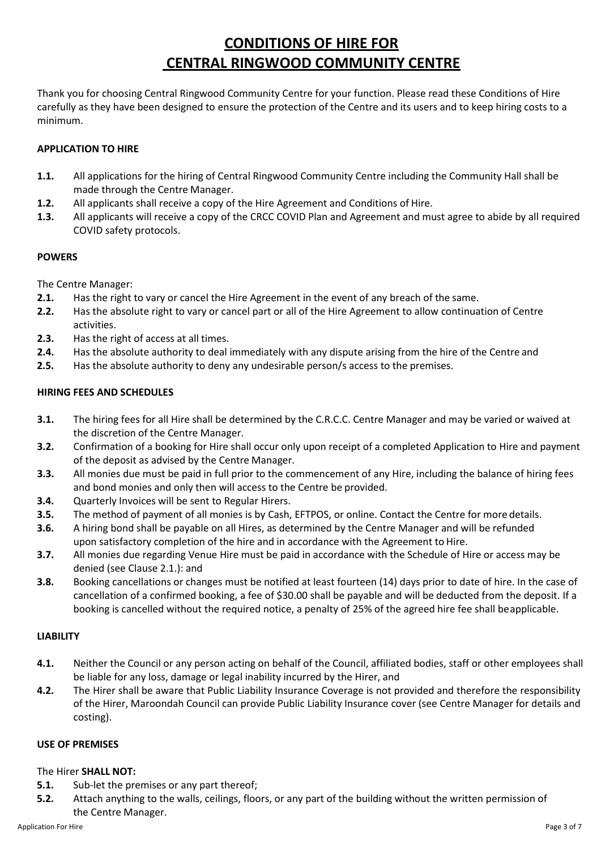## **CONDITIONS OF HIRE FOR CENTRAL RINGWOOD COMMUNITY CENTRE**

Thank you for choosing Central Ringwood Community Centre for your function. Please read these Conditions of Hire carefully as they have been designed to ensure the protection of the Centre and its users and to keep hiring costs to a minimum.

#### **APPLICATION TO HIRE**

- **1.1.** All applications for the hiring of Central Ringwood Community Centre including the Community Hall shall be made through the Centre Manager.
- **1.2.** All applicants shall receive a copy of the Hire Agreement and Conditions of Hire.
- **1.3.** All applicants will receive a copy of the CRCC COVID Plan and Agreement and must agree to abide by all required COVID safety protocols.

#### **POWERS**

The Centre Manager:

- **2.1.** Has the right to vary or cancel the Hire Agreement in the event of any breach of the same.
- **2.2.** Has the absolute right to vary or cancel part or all of the Hire Agreement to allow continuation of Centre activities.
- **2.3.** Has the right of access at all times.
- **2.4.** Has the absolute authority to deal immediately with any dispute arising from the hire of the Centre and
- **2.5.** Has the absolute authority to deny any undesirable person/s access to the premises.

#### **HIRING FEES AND SCHEDULES**

- **3.1.** The hiring fees for all Hire shall be determined by the C.R.C.C. Centre Manager and may be varied or waived at the discretion of the Centre Manager.
- **3.2.** Confirmation of a booking for Hire shall occur only upon receipt of a completed Application to Hire and payment of the deposit as advised by the Centre Manager.
- **3.3.** All monies due must be paid in full prior to the commencement of any Hire, including the balance of hiring fees and bond monies and only then will access to the Centre be provided.
- **3.4.** Quarterly Invoices will be sent to Regular Hirers.
- **3.5.** The method of payment of all monies is by Cash, EFTPOS, or online. Contact the Centre for more details.
- **3.6.** A hiring bond shall be payable on all Hires, as determined by the Centre Manager and will be refunded upon satisfactory completion of the hire and in accordance with the Agreement to Hire.
- **3.7.** All monies due regarding Venue Hire must be paid in accordance with the Schedule of Hire or access may be denied (see Clause 2.1.): and
- **3.8.** Booking cancellations or changes must be notified at least fourteen (14) days prior to date of hire. In the case of cancellation of a confirmed booking, a fee of \$30.00 shall be payable and will be deducted from the deposit. If a booking is cancelled without the required notice, a penalty of 25% of the agreed hire fee shall beapplicable.

#### **LIABILITY**

- **4.1.** Neither the Council or any person acting on behalf of the Council, affiliated bodies, staff or other employees shall be liable for any loss, damage or legal inability incurred by the Hirer, and
- **4.2.** The Hirer shall be aware that Public Liability Insurance Coverage is not provided and therefore the responsibility of the Hirer, Maroondah Council can provide Public Liability Insurance cover (see Centre Manager for details and costing).

#### **USE OF PREMISES**

#### The Hirer **SHALL NOT:**

- **5.1.** Sub-let the premises or any part thereof;
- **5.2.** Attach anything to the walls, ceilings, floors, or any part of the building without the written permission of the Centre Manager.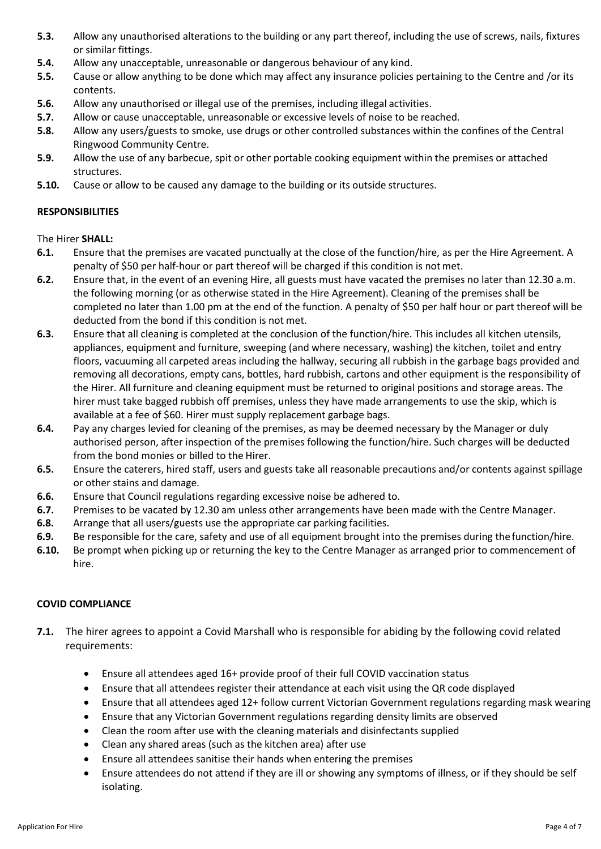- **5.3.** Allow any unauthorised alterations to the building or any part thereof, including the use of screws, nails, fixtures or similar fittings.
- **5.4.** Allow any unacceptable, unreasonable or dangerous behaviour of any kind.
- **5.5.** Cause or allow anything to be done which may affect any insurance policies pertaining to the Centre and /or its contents.
- **5.6.** Allow any unauthorised or illegal use of the premises, including illegal activities.
- **5.7.** Allow or cause unacceptable, unreasonable or excessive levels of noise to be reached.
- **5.8.** Allow any users/guests to smoke, use drugs or other controlled substances within the confines of the Central Ringwood Community Centre.
- **5.9.** Allow the use of any barbecue, spit or other portable cooking equipment within the premises or attached structures.
- **5.10.** Cause or allow to be caused any damage to the building or its outside structures.

#### **RESPONSIBILITIES**

The Hirer **SHALL:**

- **6.1.** Ensure that the premises are vacated punctually at the close of the function/hire, as per the Hire Agreement. A penalty of \$50 per half-hour or part thereof will be charged if this condition is notmet.
- **6.2.** Ensure that, in the event of an evening Hire, all guests must have vacated the premises no later than 12.30 a.m. the following morning (or as otherwise stated in the Hire Agreement). Cleaning of the premises shall be completed no later than 1.00 pm at the end of the function. A penalty of \$50 per half hour or part thereof will be deducted from the bond if this condition is not met.
- **6.3.** Ensure that all cleaning is completed at the conclusion of the function/hire. This includes all kitchen utensils, appliances, equipment and furniture, sweeping (and where necessary, washing) the kitchen, toilet and entry floors, vacuuming all carpeted areas including the hallway, securing all rubbish in the garbage bags provided and removing all decorations, empty cans, bottles, hard rubbish, cartons and other equipment is the responsibility of the Hirer. All furniture and cleaning equipment must be returned to original positions and storage areas. The hirer must take bagged rubbish off premises, unless they have made arrangements to use the skip, which is available at a fee of \$60. Hirer must supply replacement garbage bags.
- **6.4.** Pay any charges levied for cleaning of the premises, as may be deemed necessary by the Manager or duly authorised person, after inspection of the premises following the function/hire. Such charges will be deducted from the bond monies or billed to the Hirer.
- **6.5.** Ensure the caterers, hired staff, users and guests take all reasonable precautions and/or contents against spillage or other stains and damage.
- **6.6.** Ensure that Council regulations regarding excessive noise be adhered to.
- **6.7.** Premises to be vacated by 12.30 am unless other arrangements have been made with the Centre Manager.
- **6.8.** Arrange that all users/guests use the appropriate car parking facilities.
- **6.9.** Be responsible for the care, safety and use of all equipment brought into the premises during the function/hire.
- **6.10.** Be prompt when picking up or returning the key to the Centre Manager as arranged prior to commencement of hire.

#### **COVID COMPLIANCE**

- **7.1.** The hirer agrees to appoint a Covid Marshall who is responsible for abiding by the following covid related requirements:
	- Ensure all attendees aged 16+ provide proof of their full COVID vaccination status
	- Ensure that all attendees register their attendance at each visit using the QR code displayed
	- Ensure that all attendees aged 12+ follow current Victorian Government regulations regarding mask wearing
	- Ensure that any Victorian Government regulations regarding density limits are observed
	- Clean the room after use with the cleaning materials and disinfectants supplied
	- Clean any shared areas (such as the kitchen area) after use
	- Ensure all attendees sanitise their hands when entering the premises
	- Ensure attendees do not attend if they are ill or showing any symptoms of illness, or if they should be self isolating.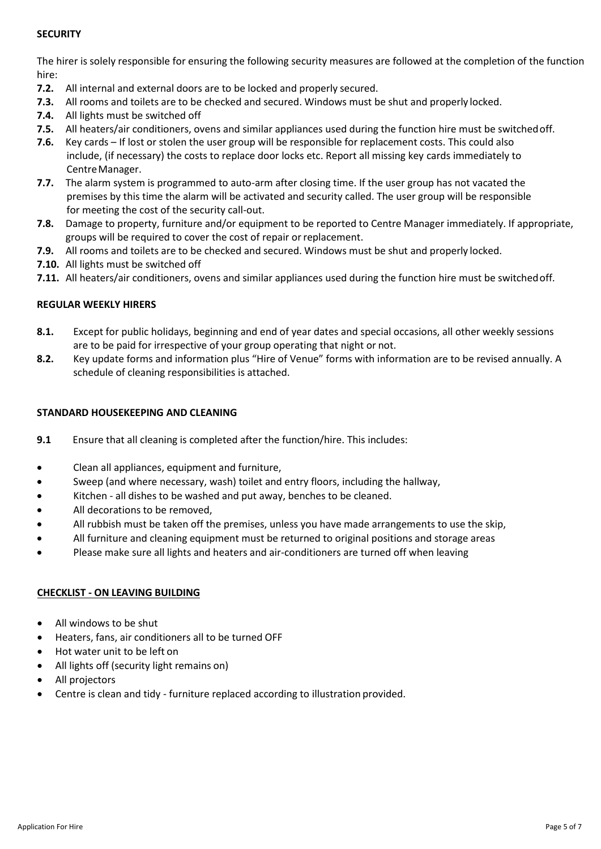#### **SECURITY**

The hirer is solely responsible for ensuring the following security measures are followed at the completion of the function hire:

- **7.2.** All internal and external doors are to be locked and properly secured.
- **7.3.** All rooms and toilets are to be checked and secured. Windows must be shut and properly locked.
- **7.4.** All lights must be switched off
- **7.5.** All heaters/air conditioners, ovens and similar appliances used during the function hire must be switchedoff.
- **7.6.** Key cards If lost or stolen the user group will be responsible for replacement costs. This could also include, (if necessary) the costs to replace door locks etc. Report all missing key cards immediately to CentreManager.
- **7.7.** The alarm system is programmed to auto-arm after closing time. If the user group has not vacated the premises by this time the alarm will be activated and security called. The user group will be responsible for meeting the cost of the security call-out.
- **7.8.** Damage to property, furniture and/or equipment to be reported to Centre Manager immediately. If appropriate, groups will be required to cover the cost of repair or replacement.
- **7.9.** All rooms and toilets are to be checked and secured. Windows must be shut and properly locked.
- **7.10.** All lights must be switched off
- **7.11.** All heaters/air conditioners, ovens and similar appliances used during the function hire must be switchedoff.

#### **REGULAR WEEKLY HIRERS**

- **8.1.** Except for public holidays, beginning and end of year dates and special occasions, all other weekly sessions are to be paid for irrespective of your group operating that night or not.
- **8.2.** Key update forms and information plus "Hire of Venue" forms with information are to be revised annually. A schedule of cleaning responsibilities is attached.

#### **STANDARD HOUSEKEEPING AND CLEANING**

- **9.1** Ensure that all cleaning is completed after the function/hire. This includes:
- Clean all appliances, equipment and furniture,
- Sweep (and where necessary, wash) toilet and entry floors, including the hallway,
- Kitchen all dishes to be washed and put away, benches to be cleaned.
- All decorations to be removed,
- All rubbish must be taken off the premises, unless you have made arrangements to use the skip,
- All furniture and cleaning equipment must be returned to original positions and storage areas
- Please make sure all lights and heaters and air-conditioners are turned off when leaving

#### **CHECKLIST - ON LEAVING BUILDING**

- All windows to be shut
- Heaters, fans, air conditioners all to be turned OFF
- Hot water unit to be left on
- All lights off (security light remains on)
- All projectors
- Centre is clean and tidy furniture replaced according to illustration provided.